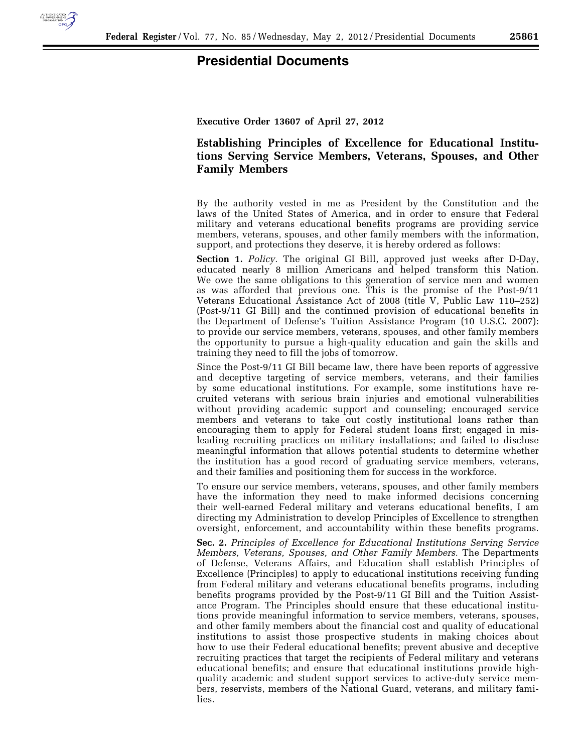

## **Presidential Documents**

**Executive Order 13607 of April 27, 2012** 

## **Establishing Principles of Excellence for Educational Institutions Serving Service Members, Veterans, Spouses, and Other Family Members**

By the authority vested in me as President by the Constitution and the laws of the United States of America, and in order to ensure that Federal military and veterans educational benefits programs are providing service members, veterans, spouses, and other family members with the information, support, and protections they deserve, it is hereby ordered as follows:

**Section 1.** *Policy.* The original GI Bill, approved just weeks after D-Day, educated nearly 8 million Americans and helped transform this Nation. We owe the same obligations to this generation of service men and women as was afforded that previous one. This is the promise of the Post-9/11 Veterans Educational Assistance Act of 2008 (title V, Public Law 110–252) (Post-9/11 GI Bill) and the continued provision of educational benefits in the Department of Defense's Tuition Assistance Program (10 U.S.C. 2007): to provide our service members, veterans, spouses, and other family members the opportunity to pursue a high-quality education and gain the skills and training they need to fill the jobs of tomorrow.

Since the Post-9/11 GI Bill became law, there have been reports of aggressive and deceptive targeting of service members, veterans, and their families by some educational institutions. For example, some institutions have recruited veterans with serious brain injuries and emotional vulnerabilities without providing academic support and counseling; encouraged service members and veterans to take out costly institutional loans rather than encouraging them to apply for Federal student loans first; engaged in misleading recruiting practices on military installations; and failed to disclose meaningful information that allows potential students to determine whether the institution has a good record of graduating service members, veterans, and their families and positioning them for success in the workforce.

To ensure our service members, veterans, spouses, and other family members have the information they need to make informed decisions concerning their well-earned Federal military and veterans educational benefits, I am directing my Administration to develop Principles of Excellence to strengthen oversight, enforcement, and accountability within these benefits programs.

**Sec. 2.** *Principles of Excellence for Educational Institutions Serving Service Members, Veterans, Spouses, and Other Family Members.* The Departments of Defense, Veterans Affairs, and Education shall establish Principles of Excellence (Principles) to apply to educational institutions receiving funding from Federal military and veterans educational benefits programs, including benefits programs provided by the Post-9/11 GI Bill and the Tuition Assistance Program. The Principles should ensure that these educational institutions provide meaningful information to service members, veterans, spouses, and other family members about the financial cost and quality of educational institutions to assist those prospective students in making choices about how to use their Federal educational benefits; prevent abusive and deceptive recruiting practices that target the recipients of Federal military and veterans educational benefits; and ensure that educational institutions provide highquality academic and student support services to active-duty service members, reservists, members of the National Guard, veterans, and military families.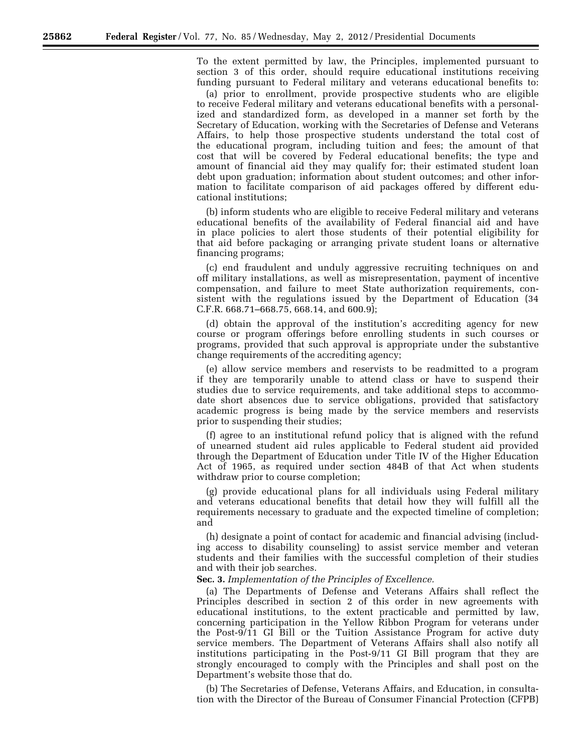To the extent permitted by law, the Principles, implemented pursuant to section 3 of this order, should require educational institutions receiving funding pursuant to Federal military and veterans educational benefits to:

(a) prior to enrollment, provide prospective students who are eligible to receive Federal military and veterans educational benefits with a personalized and standardized form, as developed in a manner set forth by the Secretary of Education, working with the Secretaries of Defense and Veterans Affairs, to help those prospective students understand the total cost of the educational program, including tuition and fees; the amount of that cost that will be covered by Federal educational benefits; the type and amount of financial aid they may qualify for; their estimated student loan debt upon graduation; information about student outcomes; and other information to facilitate comparison of aid packages offered by different educational institutions;

(b) inform students who are eligible to receive Federal military and veterans educational benefits of the availability of Federal financial aid and have in place policies to alert those students of their potential eligibility for that aid before packaging or arranging private student loans or alternative financing programs;

(c) end fraudulent and unduly aggressive recruiting techniques on and off military installations, as well as misrepresentation, payment of incentive compensation, and failure to meet State authorization requirements, consistent with the regulations issued by the Department of Education (34 C.F.R. 668.71–668.75, 668.14, and 600.9);

(d) obtain the approval of the institution's accrediting agency for new course or program offerings before enrolling students in such courses or programs, provided that such approval is appropriate under the substantive change requirements of the accrediting agency;

(e) allow service members and reservists to be readmitted to a program if they are temporarily unable to attend class or have to suspend their studies due to service requirements, and take additional steps to accommodate short absences due to service obligations, provided that satisfactory academic progress is being made by the service members and reservists prior to suspending their studies;

(f) agree to an institutional refund policy that is aligned with the refund of unearned student aid rules applicable to Federal student aid provided through the Department of Education under Title IV of the Higher Education Act of 1965, as required under section 484B of that Act when students withdraw prior to course completion;

(g) provide educational plans for all individuals using Federal military and veterans educational benefits that detail how they will fulfill all the requirements necessary to graduate and the expected timeline of completion; and

(h) designate a point of contact for academic and financial advising (including access to disability counseling) to assist service member and veteran students and their families with the successful completion of their studies and with their job searches.

**Sec. 3.** *Implementation of the Principles of Excellence.* 

(a) The Departments of Defense and Veterans Affairs shall reflect the Principles described in section 2 of this order in new agreements with educational institutions, to the extent practicable and permitted by law, concerning participation in the Yellow Ribbon Program for veterans under the Post-9/11 GI Bill or the Tuition Assistance Program for active duty service members. The Department of Veterans Affairs shall also notify all institutions participating in the Post-9/11 GI Bill program that they are strongly encouraged to comply with the Principles and shall post on the Department's website those that do.

(b) The Secretaries of Defense, Veterans Affairs, and Education, in consultation with the Director of the Bureau of Consumer Financial Protection (CFPB)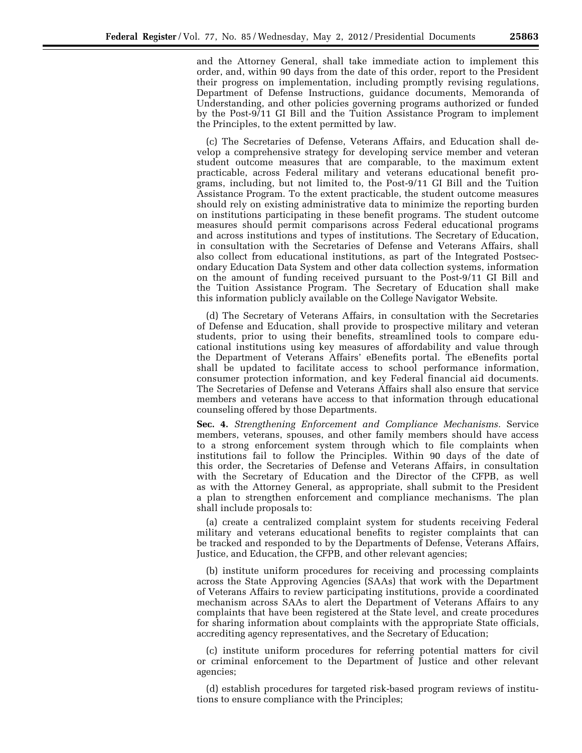and the Attorney General, shall take immediate action to implement this order, and, within 90 days from the date of this order, report to the President their progress on implementation, including promptly revising regulations, Department of Defense Instructions, guidance documents, Memoranda of Understanding, and other policies governing programs authorized or funded by the Post-9/11 GI Bill and the Tuition Assistance Program to implement the Principles, to the extent permitted by law.

(c) The Secretaries of Defense, Veterans Affairs, and Education shall develop a comprehensive strategy for developing service member and veteran student outcome measures that are comparable, to the maximum extent practicable, across Federal military and veterans educational benefit programs, including, but not limited to, the Post-9/11 GI Bill and the Tuition Assistance Program. To the extent practicable, the student outcome measures should rely on existing administrative data to minimize the reporting burden on institutions participating in these benefit programs. The student outcome measures should permit comparisons across Federal educational programs and across institutions and types of institutions. The Secretary of Education, in consultation with the Secretaries of Defense and Veterans Affairs, shall also collect from educational institutions, as part of the Integrated Postsecondary Education Data System and other data collection systems, information on the amount of funding received pursuant to the Post-9/11 GI Bill and the Tuition Assistance Program. The Secretary of Education shall make this information publicly available on the College Navigator Website.

(d) The Secretary of Veterans Affairs, in consultation with the Secretaries of Defense and Education, shall provide to prospective military and veteran students, prior to using their benefits, streamlined tools to compare educational institutions using key measures of affordability and value through the Department of Veterans Affairs' eBenefits portal. The eBenefits portal shall be updated to facilitate access to school performance information, consumer protection information, and key Federal financial aid documents. The Secretaries of Defense and Veterans Affairs shall also ensure that service members and veterans have access to that information through educational counseling offered by those Departments.

**Sec. 4.** *Strengthening Enforcement and Compliance Mechanisms.* Service members, veterans, spouses, and other family members should have access to a strong enforcement system through which to file complaints when institutions fail to follow the Principles. Within 90 days of the date of this order, the Secretaries of Defense and Veterans Affairs, in consultation with the Secretary of Education and the Director of the CFPB, as well as with the Attorney General, as appropriate, shall submit to the President a plan to strengthen enforcement and compliance mechanisms. The plan shall include proposals to:

(a) create a centralized complaint system for students receiving Federal military and veterans educational benefits to register complaints that can be tracked and responded to by the Departments of Defense, Veterans Affairs, Justice, and Education, the CFPB, and other relevant agencies;

(b) institute uniform procedures for receiving and processing complaints across the State Approving Agencies (SAAs) that work with the Department of Veterans Affairs to review participating institutions, provide a coordinated mechanism across SAAs to alert the Department of Veterans Affairs to any complaints that have been registered at the State level, and create procedures for sharing information about complaints with the appropriate State officials, accrediting agency representatives, and the Secretary of Education;

(c) institute uniform procedures for referring potential matters for civil or criminal enforcement to the Department of Justice and other relevant agencies;

(d) establish procedures for targeted risk-based program reviews of institutions to ensure compliance with the Principles;